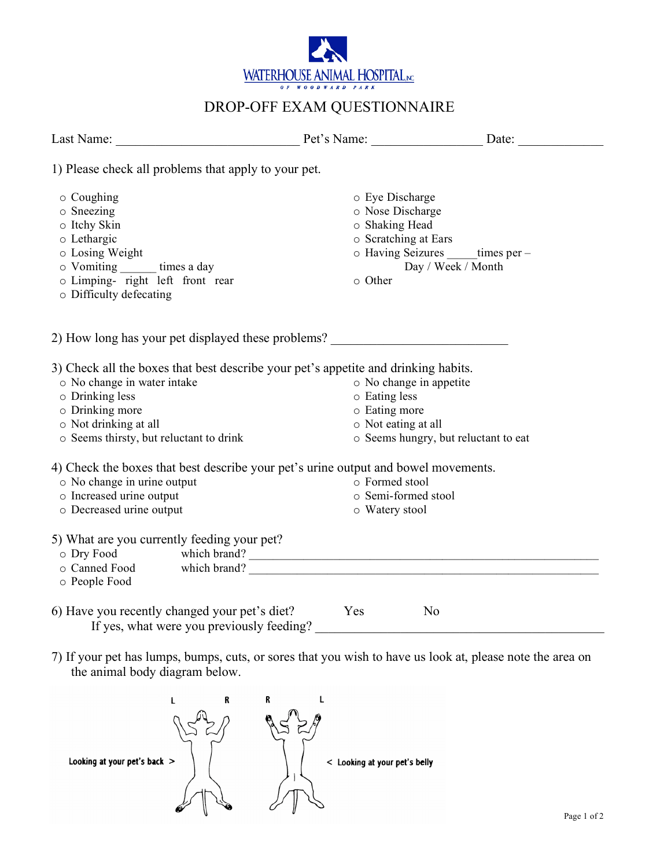

## DROP-OFF EXAM QUESTIONNAIRE

| 1) Please check all problems that apply to your pet.                                                                                                                                                                        |                                                                                          |                                                     |
|-----------------------------------------------------------------------------------------------------------------------------------------------------------------------------------------------------------------------------|------------------------------------------------------------------------------------------|-----------------------------------------------------|
| o Coughing<br>o Sneezing<br>o Itchy Skin<br>o Lethargic<br>o Losing Weight<br>o Vomiting ________ times a day<br>o Limping- right left front rear<br>o Difficulty defecating                                                | o Eye Discharge<br>o Nose Discharge<br>o Shaking Head<br>o Scratching at Ears<br>o Other | o Having Seizures times per -<br>Day / Week / Month |
| 2) How long has your pet displayed these problems?                                                                                                                                                                          |                                                                                          |                                                     |
| 3) Check all the boxes that best describe your pet's appetite and drinking habits.<br>o No change in water intake<br>o Drinking less<br>o Drinking more<br>o Not drinking at all<br>o Seems thirsty, but reluctant to drink | o No change in appetite<br>o Eating less<br>o Eating more<br>o Not eating at all         | o Seems hungry, but reluctant to eat                |
| 4) Check the boxes that best describe your pet's urine output and bowel movements.<br>o No change in urine output<br>o Increased urine output<br>o Decreased urine output                                                   | o Formed stool<br>o Semi-formed stool<br>o Watery stool                                  |                                                     |
| 5) What are you currently feeding your pet?<br>⊙ Dry Food which brand?<br>⊙ Canned Food which brand? ■<br>o People Food                                                                                                     |                                                                                          |                                                     |
| 6) Have you recently changed your pet's diet?<br>If yes, what were you previously feeding?                                                                                                                                  | Yes                                                                                      | N <sub>o</sub>                                      |
| 7) If your pet has lumps, bumps, cuts, or sores that you wish to have us look at, please note the area on<br>the animal body diagram below.                                                                                 |                                                                                          |                                                     |
| R<br>Looking at your pet's back >                                                                                                                                                                                           | < Looking at your pet's belly                                                            |                                                     |

 $\mathbb{R}^2$